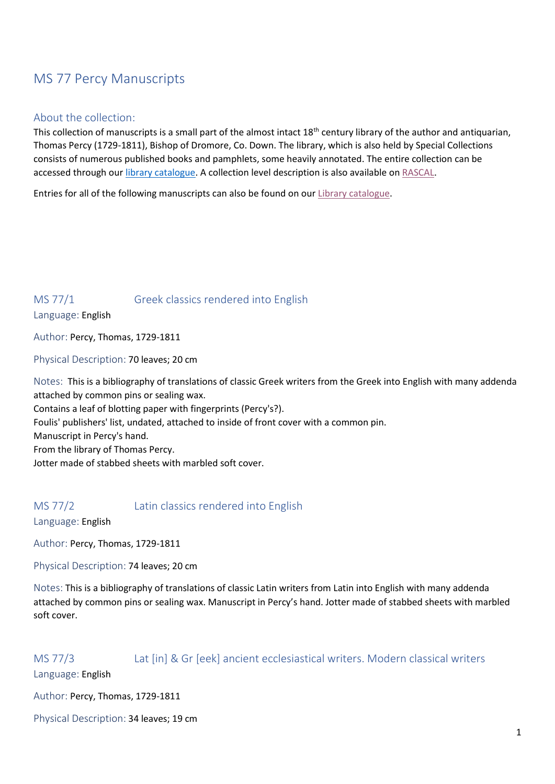# MS 77 Percy Manuscripts

### About the collection:

This collection of manuscripts is a small part of the almost intact 18<sup>th</sup> century library of the author and antiquarian, Thomas Percy (1729-1811), Bishop of Dromore, Co. Down. The library, which is also held by Special Collections consists of numerous published books and pamphlets, some heavily annotated. The entire collection can be accessed through ou[r library catalogue.](https://qulibapp.qub.ac.uk/search~S3?/aPercy%2C+Thomas%2C+1729-1811%2C/apercy+thomas+++++1729+++++1811/-3%2C-1%2C0%2CB/exact&FF=apercy+thomas+++++1729+++++1811&1%2C2542%2C) A collection level description is also available o[n RASCAL.](https://www.rascal.ac.uk/institutions/queens-university-belfast-special-collections/percy-collection)

Entries for all of the following manuscripts can also be found on our [Library catalogue.](https://www.qub.ac.uk/directorates/InformationServices/TheLibrary/SpecialCollections/)

### MS 77/1 Greek classics rendered into English Language: English

Author: Percy, Thomas, 1729-1811

Physical Description: 70 leaves; 20 cm

Notes: This is a bibliography of translations of classic Greek writers from the Greek into English with many addenda attached by common pins or sealing wax.

Contains a leaf of blotting paper with fingerprints (Percy's?).

Foulis' publishers' list, undated, attached to inside of front cover with a common pin.

Manuscript in Percy's hand.

From the library of Thomas Percy.

Jotter made of stabbed sheets with marbled soft cover.

## MS 77/2 Latin classics rendered into English

Language: English

Author: Percy, Thomas, 1729-1811

Physical Description: 74 leaves; 20 cm

Notes: This is a bibliography of translations of classic Latin writers from Latin into English with many addenda attached by common pins or sealing wax. Manuscript in Percy's hand. Jotter made of stabbed sheets with marbled soft cover.

### MS 77/3 Lat [in] & Gr [eek] ancient ecclesiastical writers. Modern classical writers

Language: English

Author: Percy, Thomas, 1729-1811

Physical Description: 34 leaves; 19 cm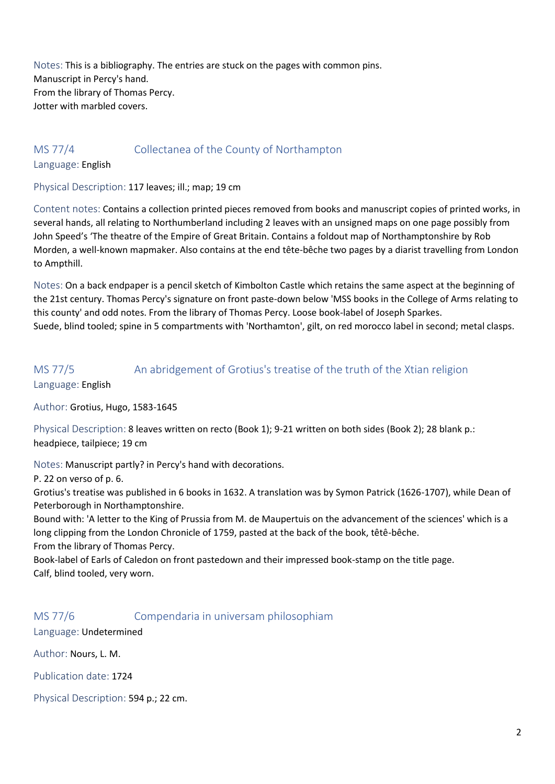Notes: This is a bibliography. The entries are stuck on the pages with common pins. Manuscript in Percy's hand. From the library of Thomas Percy. Jotter with marbled covers.

### MS 77/4 Collectanea of the County of Northampton

Language: English

Physical Description: 117 leaves; ill.; map; 19 cm

Content notes: Contains a collection printed pieces removed from books and manuscript copies of printed works, in several hands, all relating to Northumberland including 2 leaves with an unsigned maps on one page possibly from John Speed's 'The theatre of the Empire of Great Britain. Contains a foldout map of Northamptonshire by Rob Morden, a well-known mapmaker. Also contains at the end tête-bêche two pages by a diarist travelling from London to Ampthill.

Notes: On a back endpaper is a pencil sketch of Kimbolton Castle which retains the same aspect at the beginning of the 21st century. Thomas Percy's signature on front paste-down below 'MSS books in the College of Arms relating to this county' and odd notes. From the library of Thomas Percy. Loose book-label of Joseph Sparkes. Suede, blind tooled; spine in 5 compartments with 'Northamton', gilt, on red morocco label in second; metal clasps.

## MS 77/5 An abridgement of Grotius's treatise of the truth of the Xtian religion Language: English

Author: Grotius, Hugo, 1583-1645

Physical Description: 8 leaves written on recto (Book 1); 9-21 written on both sides (Book 2); 28 blank p.: headpiece, tailpiece; 19 cm

Notes: Manuscript partly? in Percy's hand with decorations.

P. 22 on verso of p. 6.

Grotius's treatise was published in 6 books in 1632. A translation was by Symon Patrick (1626-1707), while Dean of Peterborough in Northamptonshire.

Bound with: 'A letter to the King of Prussia from M. de Maupertuis on the advancement of the sciences' which is a long clipping from the London Chronicle of 1759, pasted at the back of the book, têtê-bêche. From the library of Thomas Percy.

Book-label of Earls of Caledon on front pastedown and their impressed book-stamp on the title page. Calf, blind tooled, very worn.

## MS 77/6 Compendaria in universam philosophiam

Language: Undetermined

Author: Nours, L. M.

Publication date: 1724

Physical Description: 594 p.; 22 cm.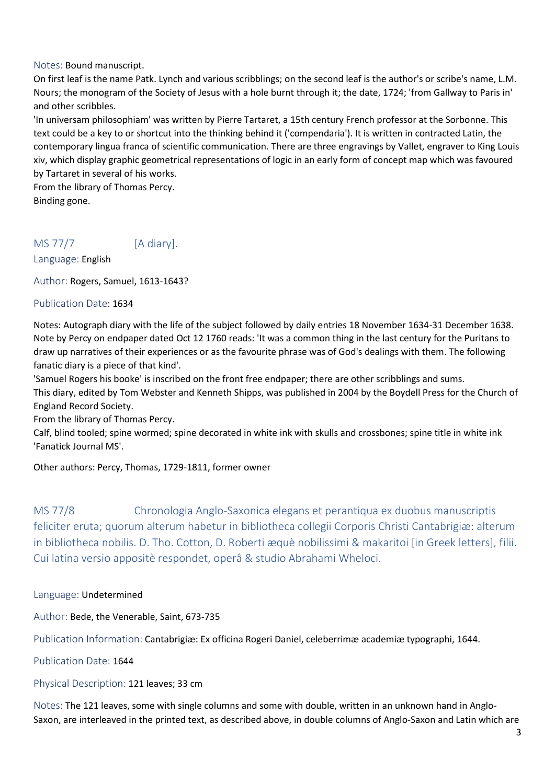### Notes: Bound manuscript.

On first leaf is the name Patk. Lynch and various scribblings; on the second leaf is the author's or scribe's name, L.M. Nours; the monogram of the Society of Jesus with a hole burnt through it; the date, 1724; 'from Gallway to Paris in' and other scribbles.

'In universam philosophiam' was written by Pierre Tartaret, a 15th century French professor at the Sorbonne. This text could be a key to or shortcut into the thinking behind it ('compendaria'). It is written in contracted Latin, the contemporary lingua franca of scientific communication. There are three engravings by Vallet, engraver to King Louis xiv, which display graphic geometrical representations of logic in an early form of concept map which was favoured by Tartaret in several of his works.

From the library of Thomas Percy. Binding gone.

## MS 77/7 [A diary].

Language: English

Author: Rogers, [Samuel,](javascript:__doLinkPostBack() 1613-1643?

#### Publication Date: 1634

Notes: Autograph diary with the life of the subject followed by daily entries 18 November 1634-31 December 1638. Note by Percy on endpaper dated Oct 12 1760 reads: 'It was a common thing in the last century for the Puritans to draw up narratives of their experiences or as the favourite phrase was of God's dealings with them. The following fanatic diary is a piece of that kind'.

'Samuel Rogers his booke' is inscribed on the front free endpaper; there are other scribblings and sums.

This diary, edited by Tom Webster and Kenneth Shipps, was published in 2004 by the Boydell Press for the Church of England Record Society.

From the library of Thomas Percy.

Calf, blind tooled; spine wormed; spine decorated in white ink with skulls and crossbones; spine title in white ink 'Fanatick Journal MS'.

### Other authors: Percy, Thomas, 1729-1811, former owner

MS 77/8 Chronologia Anglo-Saxonica elegans et perantiqua ex duobus manuscriptis feliciter eruta; quorum alterum habetur in bibliotheca collegii Corporis Christi Cantabrigiæ: alterum in bibliotheca nobilis. D. Tho. Cotton, D. Roberti æquè nobilissimi & makaritoi [in Greek letters], filii. Cui latina versio appositè respondet, operâ & studio Abrahami Wheloci.

#### Language: Undetermined

Author: [Bede, the Venerable, Saint,](javascript:__doLinkPostBack() 673-735

Publication Information: Cantabrigiæ: Ex officina Rogeri Daniel, celeberrimæ academiæ typographi, 1644.

Publication Date: 1644

### Physical Description: 121 leaves; 33 cm

Notes: The 121 leaves, some with single columns and some with double, written in an unknown hand in Anglo-Saxon, are interleaved in the printed text, as described above, in double columns of Anglo-Saxon and Latin which are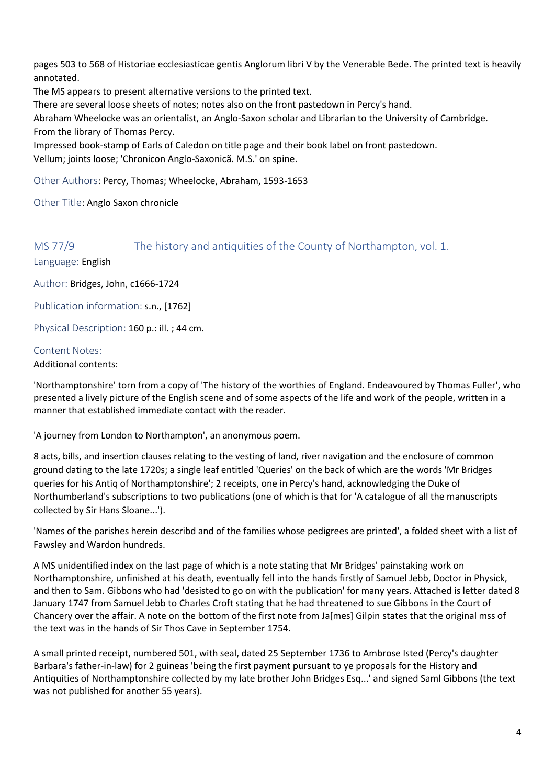pages 503 to 568 of Historiae ecclesiasticae gentis Anglorum libri V by the Venerable Bede. The printed text is heavily annotated.

The MS appears to present alternative versions to the printed text.

There are several loose sheets of notes; notes also on the front pastedown in Percy's hand.

Abraham Wheelocke was an orientalist, an Anglo-Saxon scholar and Librarian to the University of Cambridge. From the library of Thomas Percy.

Impressed book-stamp of Earls of Caledon on title page and their book label on front pastedown. Vellum; joints loose; 'Chronicon Anglo-Saxonicã. M.S.' on spine.

Other Authors: Percy, Thomas; Wheelocke, Abraham, 1593-1653

Other Title: Anglo Saxon chronicle

MS 77/9 The history and antiquities of the County of Northampton, vol. 1.

Language: English

Author: Bridges, John, c1666-1724

Publication information: s.n., [1762]

Physical Description: 160 p.: ill.; 44 cm.

### Content Notes:

Additional contents:

'Northamptonshire' torn from a copy of 'The history of the worthies of England. Endeavoured by Thomas Fuller', who presented a lively picture of the English scene and of some aspects of the life and work of the people, written in a manner that established immediate contact with the reader.

'A journey from London to Northampton', an anonymous poem.

8 acts, bills, and insertion clauses relating to the vesting of land, river navigation and the enclosure of common ground dating to the late 1720s; a single leaf entitled 'Queries' on the back of which are the words 'Mr Bridges queries for his Antiq of Northamptonshire'; 2 receipts, one in Percy's hand, acknowledging the Duke of Northumberland's subscriptions to two publications (one of which is that for 'A catalogue of all the manuscripts collected by Sir Hans Sloane...').

'Names of the parishes herein describd and of the families whose pedigrees are printed', a folded sheet with a list of Fawsley and Wardon hundreds.

A MS unidentified index on the last page of which is a note stating that Mr Bridges' painstaking work on Northamptonshire, unfinished at his death, eventually fell into the hands firstly of Samuel Jebb, Doctor in Physick, and then to Sam. Gibbons who had 'desisted to go on with the publication' for many years. Attached is letter dated 8 January 1747 from Samuel Jebb to Charles Croft stating that he had threatened to sue Gibbons in the Court of Chancery over the affair. A note on the bottom of the first note from Ja[mes] Gilpin states that the original mss of the text was in the hands of Sir Thos Cave in September 1754.

A small printed receipt, numbered 501, with seal, dated 25 September 1736 to Ambrose Isted (Percy's daughter Barbara's father-in-law) for 2 guineas 'being the first payment pursuant to ye proposals for the History and Antiquities of Northamptonshire collected by my late brother John Bridges Esq...' and signed Saml Gibbons (the text was not published for another 55 years).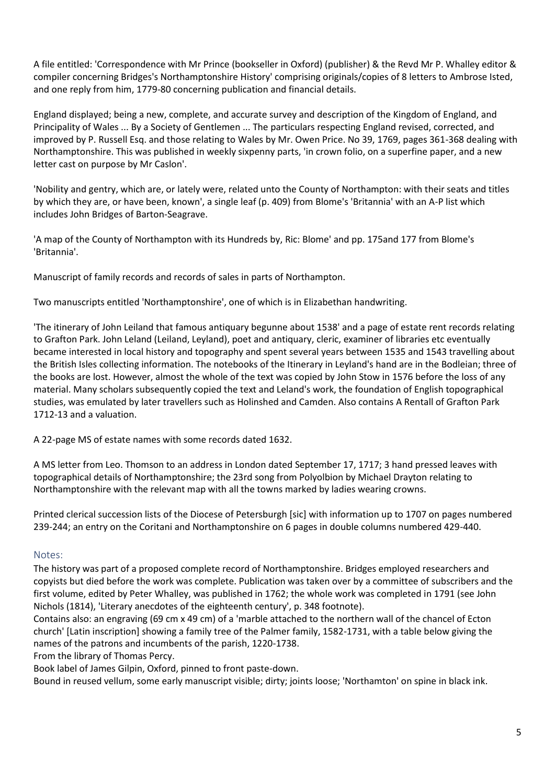A file entitled: 'Correspondence with Mr Prince (bookseller in Oxford) (publisher) & the Revd Mr P. Whalley editor & compiler concerning Bridges's Northamptonshire History' comprising originals/copies of 8 letters to Ambrose Isted, and one reply from him, 1779-80 concerning publication and financial details.

England displayed; being a new, complete, and accurate survey and description of the Kingdom of England, and Principality of Wales ... By a Society of Gentlemen ... The particulars respecting England revised, corrected, and improved by P. Russell Esq. and those relating to Wales by Mr. Owen Price. No 39, 1769, pages 361-368 dealing with Northamptonshire. This was published in weekly sixpenny parts, 'in crown folio, on a superfine paper, and a new letter cast on purpose by Mr Caslon'.

'Nobility and gentry, which are, or lately were, related unto the County of Northampton: with their seats and titles by which they are, or have been, known', a single leaf (p. 409) from Blome's 'Britannia' with an A-P list which includes John Bridges of Barton-Seagrave.

'A map of the County of Northampton with its Hundreds by, Ric: Blome' and pp. 175and 177 from Blome's 'Britannia'.

Manuscript of family records and records of sales in parts of Northampton.

Two manuscripts entitled 'Northamptonshire', one of which is in Elizabethan handwriting.

'The itinerary of John Leiland that famous antiquary begunne about 1538' and a page of estate rent records relating to Grafton Park. John Leland (Leiland, Leyland), poet and antiquary, cleric, examiner of libraries etc eventually became interested in local history and topography and spent several years between 1535 and 1543 travelling about the British Isles collecting information. The notebooks of the Itinerary in Leyland's hand are in the Bodleian; three of the books are lost. However, almost the whole of the text was copied by John Stow in 1576 before the loss of any material. Many scholars subsequently copied the text and Leland's work, the foundation of English topographical studies, was emulated by later travellers such as Holinshed and Camden. Also contains A Rentall of Grafton Park 1712-13 and a valuation.

A 22-page MS of estate names with some records dated 1632.

A MS letter from Leo. Thomson to an address in London dated September 17, 1717; 3 hand pressed leaves with topographical details of Northamptonshire; the 23rd song from Polyolbion by Michael Drayton relating to Northamptonshire with the relevant map with all the towns marked by ladies wearing crowns.

Printed clerical succession lists of the Diocese of Petersburgh [sic] with information up to 1707 on pages numbered 239-244; an entry on the Coritani and Northamptonshire on 6 pages in double columns numbered 429-440.

### Notes:

The history was part of a proposed complete record of Northamptonshire. Bridges employed researchers and copyists but died before the work was complete. Publication was taken over by a committee of subscribers and the first volume, edited by Peter Whalley, was published in 1762; the whole work was completed in 1791 (see John Nichols (1814), 'Literary anecdotes of the eighteenth century', p. 348 footnote).

Contains also: an engraving (69 cm x 49 cm) of a 'marble attached to the northern wall of the chancel of Ecton church' [Latin inscription] showing a family tree of the Palmer family, 1582-1731, with a table below giving the names of the patrons and incumbents of the parish, 1220-1738.

From the library of Thomas Percy.

Book label of James Gilpin, Oxford, pinned to front paste-down.

Bound in reused vellum, some early manuscript visible; dirty; joints loose; 'Northamton' on spine in black ink.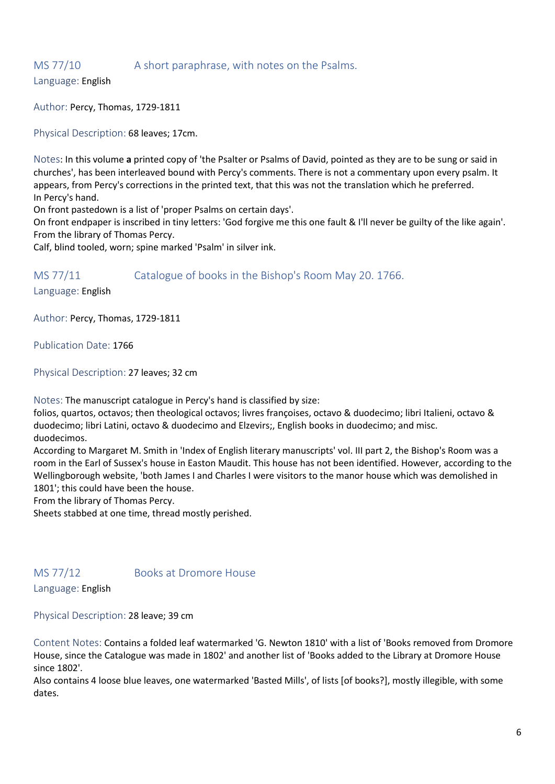### MS 77/10 A short paraphrase, with notes on the Psalms.

Language: English

Author: [Percy, Thomas,](javascript:__doLinkPostBack() 1729-1811

Physical Description: 68 leaves; 17cm.

Notes: In this volume **a** printed copy of 'the Psalter or Psalms of David, pointed as they are to be sung or said in churches', has been interleaved bound with Percy's comments. There is not a commentary upon every psalm. It appears, from Percy's corrections in the printed text, that this was not the translation which he preferred. In Percy's hand.

On front pastedown is a list of 'proper Psalms on certain days'.

On front endpaper is inscribed in tiny letters: 'God forgive me this one fault & I'll never be guilty of the like again'. From the library of Thomas Percy.

Calf, blind tooled, worn; spine marked 'Psalm' in silver ink.

MS 77/11 Catalogue of books in the Bishop's Room May 20, 1766.

Language: English

Author: Percy, Thomas, 1729-1811

Publication Date: 1766

Physical Description: 27 leaves; 32 cm

Notes: The manuscript catalogue in Percy's hand is classified by size:

folios, quartos, octavos; then theological octavos; livres françoises, octavo & duodecimo; libri Italieni, octavo & duodecimo; libri Latini, octavo & duodecimo and Elzevirs;, English books in duodecimo; and misc. duodecimos.

According to Margaret M. Smith in 'Index of English literary manuscripts' vol. III part 2, the Bishop's Room was a room in the Earl of Sussex's house in Easton Maudit. This house has not been identified. However, according to the Wellingborough website, 'both James I and Charles I were visitors to the manor house which was demolished in 1801'; this could have been the house.

From the library of Thomas Percy.

Sheets stabbed at one time, thread mostly perished.

MS 77/12 Books at Dromore House

Language: English

Physical Description: 28 leave; 39 cm

Content Notes: Contains a folded leaf watermarked 'G. Newton 1810' with a list of 'Books removed from Dromore House, since the Catalogue was made in 1802' and another list of 'Books added to the Library at Dromore House since 1802'.

Also contains 4 loose blue leaves, one watermarked 'Basted Mills', of lists [of books?], mostly illegible, with some dates.